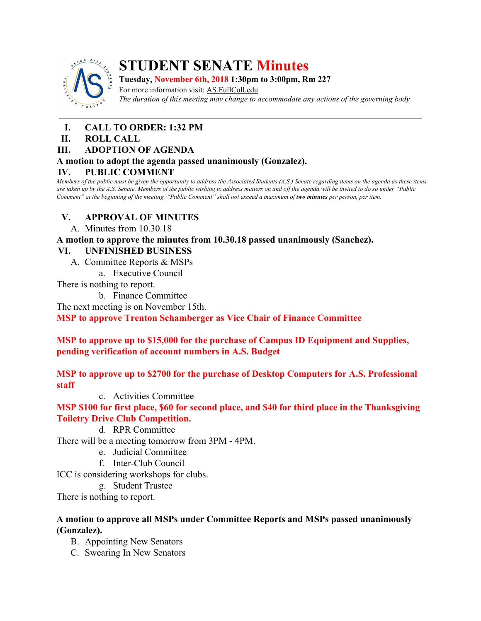

## **STUDENT SENATE Minutes**

**Tuesday, November 6th, 2018 1:30pm to 3:00pm, Rm 227** For more information visit: AS.FullColl.edu *The duration of this meeting may change to accommodate any actions of the governing body*

- **I. CALL TO ORDER: 1:32 PM**
- **II. ROLL CALL**

## **III. ADOPTION OF AGENDA**

#### **A motion to adopt the agenda passed unanimously (Gonzalez).**

## **IV. PUBLIC COMMENT**

Members of the public must be given the opportunity to address the Associated Students (A.S.) Senate regarding items on the agenda as these items are taken up by the A.S. Senate. Members of the public wishing to address matters on and off the agenda will be invited to do so under "Public Comment" at the beginning of the meeting. "Public Comment" shall not exceed a maximum of two minutes per person, per item.

## **V. APPROVAL OF MINUTES**

A. Minutes from 10.30.18

**A motion to approve the minutes from 10.30.18 passed unanimously (Sanchez).**

## **VI. UNFINISHED BUSINESS**

- A. Committee Reports & MSPs
	- a. Executive Council

There is nothing to report.

b. Finance Committee

The next meeting is on November 15th.

**MSP to approve Trenton Schamberger as Vice Chair of Finance Committee**

**MSP to approve up to \$15,000 for the purchase of Campus ID Equipment and Supplies, pending verification of account numbers in A.S. Budget**

**MSP to approve up to \$2700 for the purchase of Desktop Computers for A.S. Professional staff**

c. Activities Committee

**MSP \$100 for first place, \$60 for second place, and \$40 for third place in the Thanksgiving Toiletry Drive Club Competition.**

d. RPR Committee

There will be a meeting tomorrow from 3PM - 4PM.

- e. Judicial Committee
- f. Inter-Club Council

ICC is considering workshops for clubs.

g. Student Trustee

There is nothing to report.

#### **A motion to approve all MSPs under Committee Reports and MSPs passed unanimously (Gonzalez).**

- B. Appointing New Senators
- C. Swearing In New Senators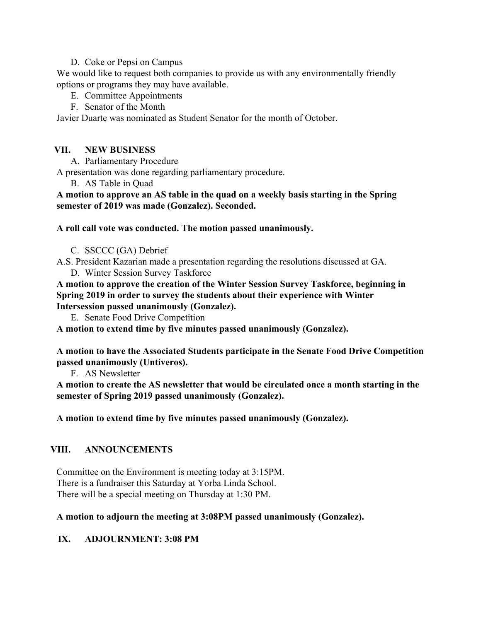#### D. Coke or Pepsi on Campus

We would like to request both companies to provide us with any environmentally friendly options or programs they may have available.

- E. Committee Appointments
- F. Senator of the Month

Javier Duarte was nominated as Student Senator for the month of October.

## **VII. NEW BUSINESS**

A. Parliamentary Procedure

A presentation was done regarding parliamentary procedure.

B. AS Table in Quad

**A motion to approve an AS table in the quad on a weekly basis starting in the Spring semester of 2019 was made (Gonzalez). Seconded.**

#### **A roll call vote was conducted. The motion passed unanimously.**

- C. SSCCC (GA) Debrief
- A.S. President Kazarian made a presentation regarding the resolutions discussed at GA. D. Winter Session Survey Taskforce
- **A motion to approve the creation of the Winter Session Survey Taskforce, beginning in Spring 2019 in order to survey the students about their experience with Winter Intersession passed unanimously (Gonzalez).**

E. Senate Food Drive Competition

**A motion to extend time by five minutes passed unanimously (Gonzalez).**

**A motion to have the Associated Students participate in the Senate Food Drive Competition passed unanimously (Untiveros).**

F. AS Newsletter

**A motion to create the AS newsletter that would be circulated once a month starting in the semester of Spring 2019 passed unanimously (Gonzalez).**

**A motion to extend time by five minutes passed unanimously (Gonzalez).**

## **VIII. ANNOUNCEMENTS**

Committee on the Environment is meeting today at 3:15PM. There is a fundraiser this Saturday at Yorba Linda School. There will be a special meeting on Thursday at 1:30 PM.

#### **A motion to adjourn the meeting at 3:08PM passed unanimously (Gonzalez).**

## **IX. ADJOURNMENT: 3:08 PM**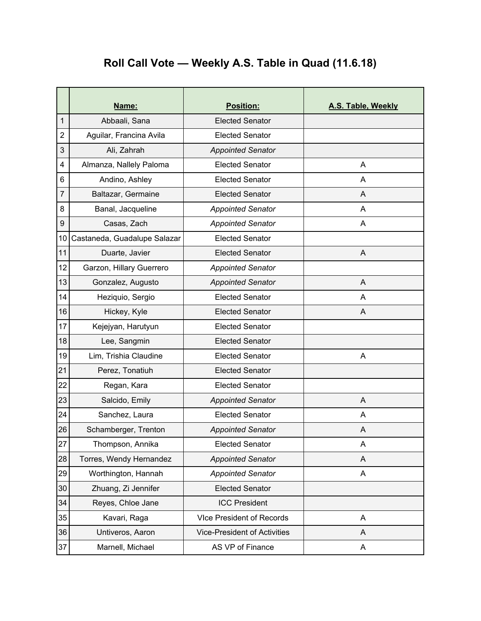# **Roll Call Vote — Weekly A.S. Table in Quad (11.6.18)**

|                | Name:                        | Position:                           | A.S. Table, Weekly |
|----------------|------------------------------|-------------------------------------|--------------------|
| 1              | Abbaali, Sana                | <b>Elected Senator</b>              |                    |
| $\overline{2}$ | Aguilar, Francina Avila      | <b>Elected Senator</b>              |                    |
| 3              | Ali, Zahrah                  | <b>Appointed Senator</b>            |                    |
| 4              | Almanza, Nallely Paloma      | <b>Elected Senator</b>              | A                  |
| 6              | Andino, Ashley               | <b>Elected Senator</b>              | A                  |
| 7              | Baltazar, Germaine           | <b>Elected Senator</b>              | A                  |
| 8              | Banal, Jacqueline            | <b>Appointed Senator</b>            | A                  |
| 9              | Casas, Zach                  | <b>Appointed Senator</b>            | A                  |
| 10             | Castaneda, Guadalupe Salazar | <b>Elected Senator</b>              |                    |
| 11             | Duarte, Javier               | <b>Elected Senator</b>              | A                  |
| 12             | Garzon, Hillary Guerrero     | <b>Appointed Senator</b>            |                    |
| 13             | Gonzalez, Augusto            | <b>Appointed Senator</b>            | A                  |
| 14             | Heziquio, Sergio             | <b>Elected Senator</b>              | Α                  |
| 16             | Hickey, Kyle                 | <b>Elected Senator</b>              | A                  |
| 17             | Kejejyan, Harutyun           | <b>Elected Senator</b>              |                    |
| 18             | Lee, Sangmin                 | <b>Elected Senator</b>              |                    |
| 19             | Lim, Trishia Claudine        | <b>Elected Senator</b>              | A                  |
| 21             | Perez, Tonatiuh              | <b>Elected Senator</b>              |                    |
| 22             | Regan, Kara                  | <b>Elected Senator</b>              |                    |
| 23             | Salcido, Emily               | <b>Appointed Senator</b>            | A                  |
| 24             | Sanchez, Laura               | <b>Elected Senator</b>              | A                  |
| 26             | Schamberger, Trenton         | <b>Appointed Senator</b>            | Α                  |
| 27             | Thompson, Annika             | <b>Elected Senator</b>              | A                  |
| 28             | Torres, Wendy Hernandez      | <b>Appointed Senator</b>            | A                  |
| 29             | Worthington, Hannah          | <b>Appointed Senator</b>            | A                  |
| 30             | Zhuang, Zi Jennifer          | <b>Elected Senator</b>              |                    |
| 34             | Reyes, Chloe Jane            | <b>ICC President</b>                |                    |
| 35             | Kavari, Raga                 | <b>VIce President of Records</b>    | A                  |
| 36             | Untiveros, Aaron             | <b>Vice-President of Activities</b> | A                  |
| 37             | Marnell, Michael             | AS VP of Finance                    | A                  |